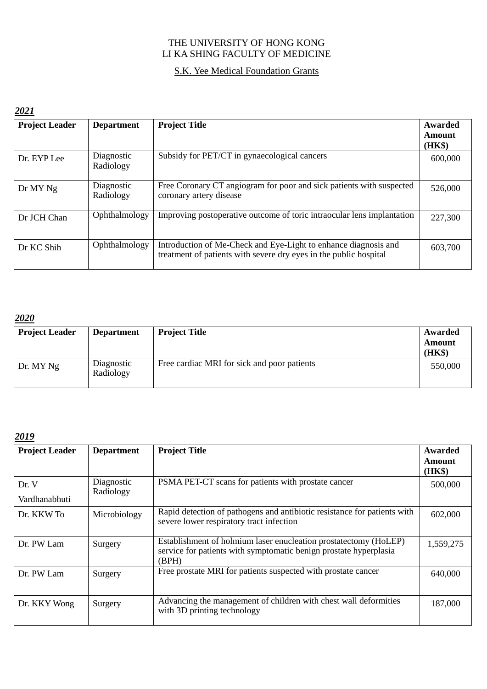### THE UNIVERSITY OF HONG KONG LI KA SHING FACULTY OF MEDICINE

### S.K. Yee Medical Foundation Grants

#### *2021*

| <b>Project Leader</b> | <b>Department</b>       | <b>Project Title</b>                                                                                                                 | Awarded<br>Amount<br>(HK\$) |
|-----------------------|-------------------------|--------------------------------------------------------------------------------------------------------------------------------------|-----------------------------|
| Dr. EYP Lee           | Diagnostic<br>Radiology | Subsidy for PET/CT in gynaecological cancers                                                                                         | 600,000                     |
| Dr MY Ng              | Diagnostic<br>Radiology | Free Coronary CT angiogram for poor and sick patients with suspected<br>coronary artery disease                                      | 526,000                     |
| Dr JCH Chan           | Ophthalmology           | Improving postoperative outcome of toric intraocular lens implantation                                                               | 227,300                     |
| Dr KC Shih            | Ophthalmology           | Introduction of Me-Check and Eye-Light to enhance diagnosis and<br>treatment of patients with severe dry eyes in the public hospital | 603,700                     |

#### *2020*

| <b>Project Leader</b> | <b>Department</b>       | <b>Project Title</b>                        | Awarded<br>Amount<br>(HK\$) |
|-----------------------|-------------------------|---------------------------------------------|-----------------------------|
| Dr. MY Ng             | Diagnostic<br>Radiology | Free cardiac MRI for sick and poor patients | 550,000                     |

| <b>Project Leader</b>  | <b>Department</b>       | <b>Project Title</b>                                                                                                                           | Awarded<br>Amount<br>(HK\$) |
|------------------------|-------------------------|------------------------------------------------------------------------------------------------------------------------------------------------|-----------------------------|
| Dr. V<br>Vardhanabhuti | Diagnostic<br>Radiology | PSMA PET-CT scans for patients with prostate cancer                                                                                            | 500,000                     |
| Dr. KKW To             | Microbiology            | Rapid detection of pathogens and antibiotic resistance for patients with<br>severe lower respiratory tract infection                           | 602,000                     |
| Dr. PW Lam             | Surgery                 | Establishment of holmium laser enucleation prostatectomy (HoLEP)<br>service for patients with symptomatic benign prostate hyperplasia<br>(BPH) | 1,559,275                   |
| Dr. PW Lam             | Surgery                 | Free prostate MRI for patients suspected with prostate cancer                                                                                  | 640,000                     |
| Dr. KKY Wong           | Surgery                 | Advancing the management of children with chest wall deformities<br>with 3D printing technology                                                | 187,000                     |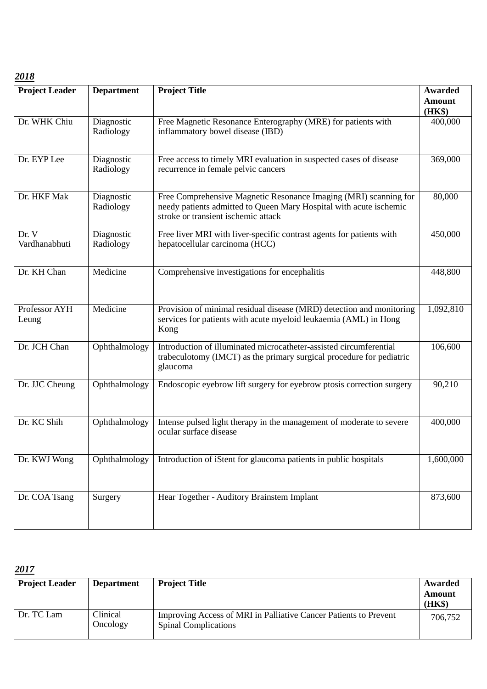| <b>Project Leader</b>  | <b>Department</b>       | <b>Project Title</b>                                                                                                                                                          | <b>Awarded</b> |
|------------------------|-------------------------|-------------------------------------------------------------------------------------------------------------------------------------------------------------------------------|----------------|
|                        |                         |                                                                                                                                                                               | <b>Amount</b>  |
|                        |                         |                                                                                                                                                                               | (HK\$)         |
| Dr. WHK Chiu           | Diagnostic<br>Radiology | Free Magnetic Resonance Enterography (MRE) for patients with<br>inflammatory bowel disease (IBD)                                                                              | 400,000        |
| Dr. EYP Lee            | Diagnostic<br>Radiology | Free access to timely MRI evaluation in suspected cases of disease<br>recurrence in female pelvic cancers                                                                     | 369,000        |
| Dr. HKF Mak            | Diagnostic<br>Radiology | Free Comprehensive Magnetic Resonance Imaging (MRI) scanning for<br>needy patients admitted to Queen Mary Hospital with acute ischemic<br>stroke or transient ischemic attack | 80,000         |
| Dr. V<br>Vardhanabhuti | Diagnostic<br>Radiology | Free liver MRI with liver-specific contrast agents for patients with<br>hepatocellular carcinoma (HCC)                                                                        | 450,000        |
| Dr. KH Chan            | Medicine                | Comprehensive investigations for encephalitis                                                                                                                                 | 448,800        |
| Professor AYH<br>Leung | Medicine                | Provision of minimal residual disease (MRD) detection and monitoring<br>services for patients with acute myeloid leukaemia (AML) in Hong<br>Kong                              | 1,092,810      |
| Dr. JCH Chan           | Ophthalmology           | Introduction of illuminated microcatheter-assisted circumferential<br>trabeculotomy (IMCT) as the primary surgical procedure for pediatric<br>glaucoma                        | 106,600        |
| Dr. JJC Cheung         | Ophthalmology           | Endoscopic eyebrow lift surgery for eyebrow ptosis correction surgery                                                                                                         | 90,210         |
| Dr. KC Shih            | Ophthalmology           | Intense pulsed light therapy in the management of moderate to severe<br>ocular surface disease                                                                                | 400,000        |
| Dr. KWJ Wong           | Ophthalmology           | Introduction of iStent for glaucoma patients in public hospitals                                                                                                              | 1,600,000      |
| Dr. COA Tsang          | Surgery                 | Hear Together - Auditory Brainstem Implant                                                                                                                                    | 873,600        |

| <b>Project Leader</b> | <b>Department</b>    | <b>Project Title</b>                                                                            | Awarded<br>Amount<br>(HK\$) |
|-----------------------|----------------------|-------------------------------------------------------------------------------------------------|-----------------------------|
| Dr. TC Lam            | Clinical<br>Oncology | Improving Access of MRI in Palliative Cancer Patients to Prevent<br><b>Spinal Complications</b> | 706,752                     |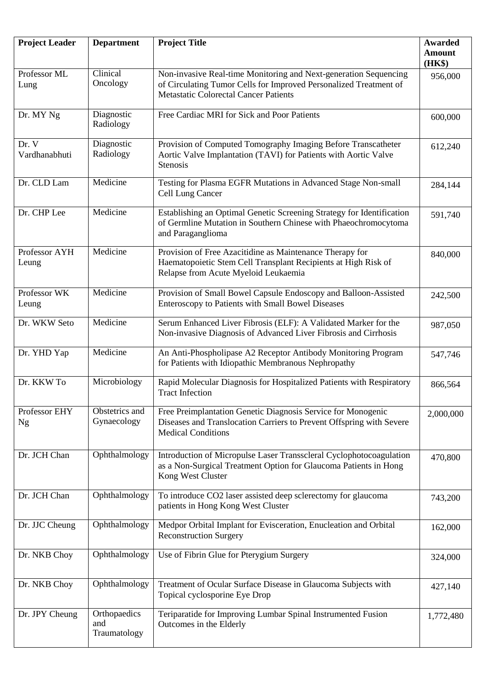| <b>Project Leader</b>      | <b>Department</b>                   | <b>Project Title</b>                                                                                                                                                                  | <b>Awarded</b><br><b>Amount</b><br>(HK\$) |
|----------------------------|-------------------------------------|---------------------------------------------------------------------------------------------------------------------------------------------------------------------------------------|-------------------------------------------|
| Professor ML<br>Lung       | Clinical<br>Oncology                | Non-invasive Real-time Monitoring and Next-generation Sequencing<br>of Circulating Tumor Cells for Improved Personalized Treatment of<br><b>Metastatic Colorectal Cancer Patients</b> | 956,000                                   |
| Dr. MY Ng                  | Diagnostic<br>Radiology             | Free Cardiac MRI for Sick and Poor Patients                                                                                                                                           | 600,000                                   |
| Dr. V<br>Vardhanabhuti     | Diagnostic<br>Radiology             | Provision of Computed Tomography Imaging Before Transcatheter<br>Aortic Valve Implantation (TAVI) for Patients with Aortic Valve<br><b>Stenosis</b>                                   | 612,240                                   |
| Dr. CLD Lam                | Medicine                            | Testing for Plasma EGFR Mutations in Advanced Stage Non-small<br>Cell Lung Cancer                                                                                                     | 284,144                                   |
| Dr. CHP Lee                | Medicine                            | Establishing an Optimal Genetic Screening Strategy for Identification<br>of Germline Mutation in Southern Chinese with Phaeochromocytoma<br>and Paraganglioma                         | 591,740                                   |
| Professor AYH<br>Leung     | Medicine                            | Provision of Free Azacitidine as Maintenance Therapy for<br>Haematopoietic Stem Cell Transplant Recipients at High Risk of<br>Relapse from Acute Myeloid Leukaemia                    | 840,000                                   |
| Professor WK<br>Leung      | Medicine                            | Provision of Small Bowel Capsule Endoscopy and Balloon-Assisted<br>Enteroscopy to Patients with Small Bowel Diseases                                                                  | 242,500                                   |
| Dr. WKW Seto               | Medicine                            | Serum Enhanced Liver Fibrosis (ELF): A Validated Marker for the<br>Non-invasive Diagnosis of Advanced Liver Fibrosis and Cirrhosis                                                    | 987,050                                   |
| Dr. YHD Yap                | Medicine                            | An Anti-Phospholipase A2 Receptor Antibody Monitoring Program<br>for Patients with Idiopathic Membranous Nephropathy                                                                  | 547,746                                   |
| Dr. KKW To                 | Microbiology                        | Rapid Molecular Diagnosis for Hospitalized Patients with Respiratory<br><b>Tract Infection</b>                                                                                        | 866,564                                   |
| Professor EHY<br><b>Ng</b> | Obstetrics and<br>Gynaecology       | Free Preimplantation Genetic Diagnosis Service for Monogenic<br>Diseases and Translocation Carriers to Prevent Offspring with Severe<br><b>Medical Conditions</b>                     | 2,000,000                                 |
| Dr. JCH Chan               | Ophthalmology                       | Introduction of Micropulse Laser Transscleral Cyclophotocoagulation<br>as a Non-Surgical Treatment Option for Glaucoma Patients in Hong<br>Kong West Cluster                          | 470,800                                   |
| Dr. JCH Chan               | Ophthalmology                       | To introduce CO2 laser assisted deep sclerectomy for glaucoma<br>patients in Hong Kong West Cluster                                                                                   | 743,200                                   |
| Dr. JJC Cheung             | Ophthalmology                       | Medpor Orbital Implant for Evisceration, Enucleation and Orbital<br><b>Reconstruction Surgery</b>                                                                                     | 162,000                                   |
| Dr. NKB Choy               | Ophthalmology                       | Use of Fibrin Glue for Pterygium Surgery                                                                                                                                              | 324,000                                   |
| Dr. NKB Choy               | Ophthalmology                       | Treatment of Ocular Surface Disease in Glaucoma Subjects with<br>Topical cyclosporine Eye Drop                                                                                        | 427,140                                   |
| Dr. JPY Cheung             | Orthopaedics<br>and<br>Traumatology | Teriparatide for Improving Lumbar Spinal Instrumented Fusion<br>Outcomes in the Elderly                                                                                               | 1,772,480                                 |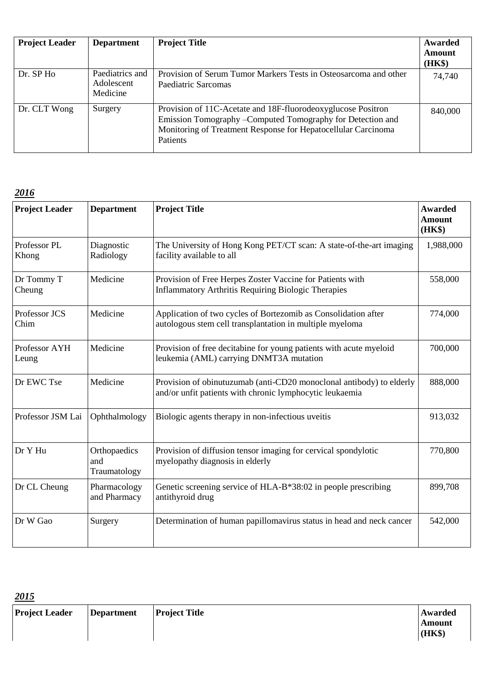| <b>Project Leader</b> | <b>Department</b>                         | <b>Project Title</b>                                                                                                                                                                                     | Awarded<br>Amount<br>(HK\$) |
|-----------------------|-------------------------------------------|----------------------------------------------------------------------------------------------------------------------------------------------------------------------------------------------------------|-----------------------------|
| Dr. SP Ho             | Paediatrics and<br>Adolescent<br>Medicine | Provision of Serum Tumor Markers Tests in Osteosarcoma and other<br>Paediatric Sarcomas                                                                                                                  | 74,740                      |
| Dr. CLT Wong          | Surgery                                   | Provision of 11C-Acetate and 18F-fluorodeoxyglucose Positron<br>Emission Tomography - Computed Tomography for Detection and<br>Monitoring of Treatment Response for Hepatocellular Carcinoma<br>Patients | 840,000                     |

| <b>Project Leader</b>  | <b>Department</b>                   | <b>Project Title</b>                                                                                                             | <b>Awarded</b><br><b>Amount</b><br>(HK\$) |
|------------------------|-------------------------------------|----------------------------------------------------------------------------------------------------------------------------------|-------------------------------------------|
| Professor PL<br>Khong  | Diagnostic<br>Radiology             | The University of Hong Kong PET/CT scan: A state-of-the-art imaging<br>facility available to all                                 | 1,988,000                                 |
| Dr Tommy T<br>Cheung   | Medicine                            | Provision of Free Herpes Zoster Vaccine for Patients with<br><b>Inflammatory Arthritis Requiring Biologic Therapies</b>          | 558,000                                   |
| Professor JCS<br>Chim  | Medicine                            | Application of two cycles of Bortezomib as Consolidation after<br>autologous stem cell transplantation in multiple myeloma       | 774,000                                   |
| Professor AYH<br>Leung | Medicine                            | Provision of free decitabine for young patients with acute myeloid<br>leukemia (AML) carrying DNMT3A mutation                    | 700,000                                   |
| Dr EWC Tse             | Medicine                            | Provision of obinutuzumab (anti-CD20 monoclonal antibody) to elderly<br>and/or unfit patients with chronic lymphocytic leukaemia | 888,000                                   |
| Professor JSM Lai      | Ophthalmology                       | Biologic agents therapy in non-infectious uveitis                                                                                | 913,032                                   |
| Dr Y Hu                | Orthopaedics<br>and<br>Traumatology | Provision of diffusion tensor imaging for cervical spondylotic<br>myelopathy diagnosis in elderly                                | 770,800                                   |
| Dr CL Cheung           | Pharmacology<br>and Pharmacy        | Genetic screening service of HLA-B*38:02 in people prescribing<br>antithyroid drug                                               | 899,708                                   |
| Dr W Gao               | Surgery                             | Determination of human papillomavirus status in head and neck cancer                                                             | 542,000                                   |

| 2015                  |                   |               |                             |
|-----------------------|-------------------|---------------|-----------------------------|
| <b>Project Leader</b> | <b>Department</b> | Project Title | Awarded<br>Amount<br>(HK\$) |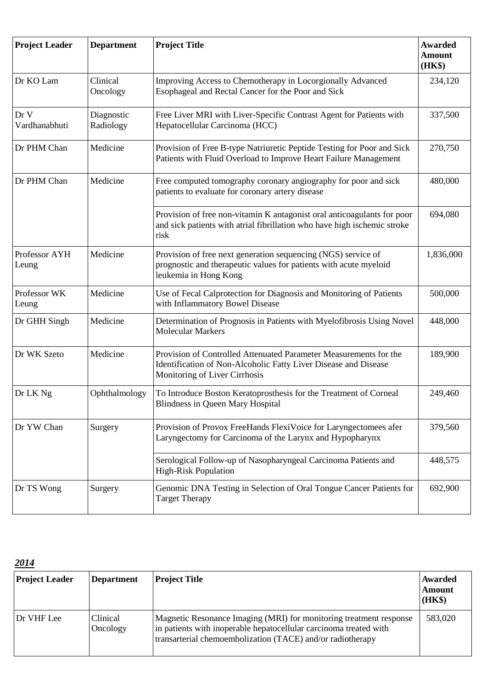| <b>Project Leader</b>  | <b>Department</b>       | <b>Project Title</b>                                                                                                                                                  | <b>Awarded</b><br><b>Amount</b><br>(HK\$) |
|------------------------|-------------------------|-----------------------------------------------------------------------------------------------------------------------------------------------------------------------|-------------------------------------------|
| Dr KO Lam              | Clinical<br>Oncology    | Improving Access to Chemotherapy in Locorgionally Advanced<br>Esophageal and Rectal Cancer for the Poor and Sick                                                      | 234,120                                   |
| Dr V<br>Vardhanabhuti  | Diagnostic<br>Radiology | Free Liver MRI with Liver-Specific Contrast Agent for Patients with<br>Hepatocellular Carcinoma (HCC)                                                                 | 337,500                                   |
| Dr PHM Chan            | Medicine                | Provision of Free B-type Natriuretic Peptide Testing for Poor and Sick<br>Patients with Fluid Overload to Improve Heart Failure Management                            | 270,750                                   |
| Dr PHM Chan            | Medicine                | Free computed tomography coronary angiography for poor and sick<br>patients to evaluate for coronary artery disease                                                   | 480,000                                   |
|                        |                         | Provision of free non-vitamin K antagonist oral anticoagulants for poor<br>and sick patients with atrial fibrillation who have high ischemic stroke<br>risk           | 694,080                                   |
| Professor AYH<br>Leung | Medicine                | Provision of free next generation sequencing (NGS) service of<br>prognostic and therapeutic values for patients with acute myeloid<br>leukemia in Hong Kong           | 1,836,000                                 |
| Professor WK<br>Leung  | Medicine                | Use of Fecal Calprotection for Diagnosis and Monitoring of Patients<br>with Inflammatory Bowel Disease                                                                | 500,000                                   |
| Dr GHH Singh           | Medicine                | Determination of Prognosis in Patients with Myelofibrosis Using Novel<br><b>Molecular Markers</b>                                                                     | 448,000                                   |
| Dr WK Szeto            | Medicine                | Provision of Controlled Attenuated Parameter Measurements for the<br>Identification of Non-Alcoholic Fatty Liver Disease and Disease<br>Monitoring of Liver Cirrhosis | 189,900                                   |
| Dr LK Ng               | Ophthalmology           | To Introduce Boston Keratoprosthesis for the Treatment of Corneal<br>Blindness in Queen Mary Hospital                                                                 | 249,460                                   |
| Dr YW Chan             | Surgery                 | Provision of Provox FreeHands FlexiVoice for Laryngectomees afer<br>Laryngectomy for Carcinoma of the Larynx and Hypopharynx                                          | 379,560                                   |
|                        |                         | Serological Follow-up of Nasopharyngeal Carcinoma Patients and<br><b>High-Risk Population</b>                                                                         | 448,575                                   |
| Dr TS Wong             | Surgery                 | Genomic DNA Testing in Selection of Oral Tongue Cancer Patients for<br><b>Target Therapy</b>                                                                          | 692,900                                   |

*2014*

| <b>Project Leader</b> | <b>Department</b>           | <b>Project Title</b>                                                                                                                                                                                  | <b>Awarded</b><br>Amount<br>(HK\$) |
|-----------------------|-----------------------------|-------------------------------------------------------------------------------------------------------------------------------------------------------------------------------------------------------|------------------------------------|
| Dr VHF Lee            | <b>Clinical</b><br>Oncology | Magnetic Resonance Imaging (MRI) for monitoring treatment response<br>in patients with inoperable hepatocellular carcinoma treated with<br>transarterial chemoembolization (TACE) and/or radiotherapy | 583,020                            |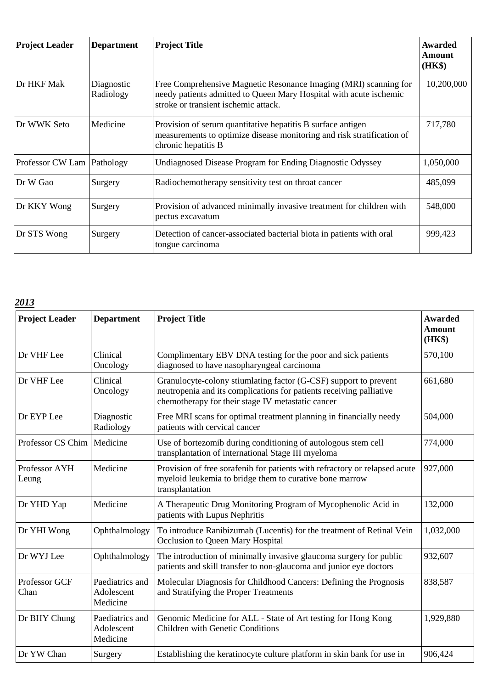| <b>Project Leader</b>        | <b>Department</b>       | <b>Project Title</b>                                                                                                                                                           | <b>Awarded</b><br>Amount<br>(HK\$) |
|------------------------------|-------------------------|--------------------------------------------------------------------------------------------------------------------------------------------------------------------------------|------------------------------------|
| Dr HKF Mak                   | Diagnostic<br>Radiology | Free Comprehensive Magnetic Resonance Imaging (MRI) scanning for<br>needy patients admitted to Queen Mary Hospital with acute ischemic<br>stroke or transient ischemic attack. | 10,200,000                         |
| Dr WWK Seto                  | Medicine                | Provision of serum quantitative hepatitis B surface antigen<br>measurements to optimize disease monitoring and risk stratification of<br>chronic hepatitis B                   | 717,780                            |
| Professor CW Lam   Pathology |                         | Undiagnosed Disease Program for Ending Diagnostic Odyssey                                                                                                                      | 1,050,000                          |
| Dr W Gao                     | Surgery                 | Radiochemotherapy sensitivity test on throat cancer                                                                                                                            | 485,099                            |
| Dr KKY Wong                  | Surgery                 | Provision of advanced minimally invasive treatment for children with<br>pectus excavatum                                                                                       | 548,000                            |
| Dr STS Wong                  | Surgery                 | Detection of cancer-associated bacterial biota in patients with oral<br>tongue carcinoma                                                                                       | 999,423                            |

| <b>Project Leader</b>  | <b>Department</b>                         | <b>Project Title</b>                                                                                                                                                                         | <b>Awarded</b><br><b>Amount</b><br>(HK\$) |
|------------------------|-------------------------------------------|----------------------------------------------------------------------------------------------------------------------------------------------------------------------------------------------|-------------------------------------------|
| Dr VHF Lee             | Clinical<br>Oncology                      | Complimentary EBV DNA testing for the poor and sick patients<br>diagnosed to have nasopharyngeal carcinoma                                                                                   | 570,100                                   |
| Dr VHF Lee             | Clinical<br>Oncology                      | Granulocyte-colony stiumlating factor (G-CSF) support to prevent<br>neutropenia and its complications for patients receiving palliative<br>chemotherapy for their stage IV metastatic cancer | 661,680                                   |
| Dr EYP Lee             | Diagnostic<br>Radiology                   | Free MRI scans for optimal treatment planning in financially needy<br>patients with cervical cancer                                                                                          | 504,000                                   |
| Professor CS Chim      | Medicine                                  | Use of bortezomib during conditioning of autologous stem cell<br>transplantation of international Stage III myeloma                                                                          | 774,000                                   |
| Professor AYH<br>Leung | Medicine                                  | Provision of free sorafenib for patients with refractory or relapsed acute<br>myeloid leukemia to bridge them to curative bone marrow<br>transplantation                                     | 927,000                                   |
| Dr YHD Yap             | Medicine                                  | A Therapeutic Drug Monitoring Program of Mycophenolic Acid in<br>patients with Lupus Nephritis                                                                                               | 132,000                                   |
| Dr YHI Wong            | Ophthalmology                             | To introduce Ranibizumab (Lucentis) for the treatment of Retinal Vein<br>Occlusion to Queen Mary Hospital                                                                                    | 1,032,000                                 |
| Dr WYJ Lee             | Ophthalmology                             | The introduction of minimally invasive glaucoma surgery for public<br>patients and skill transfer to non-glaucoma and junior eye doctors                                                     | 932,607                                   |
| Professor GCF<br>Chan  | Paediatrics and<br>Adolescent<br>Medicine | Molecular Diagnosis for Childhood Cancers: Defining the Prognosis<br>and Stratifying the Proper Treatments                                                                                   | 838,587                                   |
| Dr BHY Chung           | Paediatrics and<br>Adolescent<br>Medicine | Genomic Medicine for ALL - State of Art testing for Hong Kong<br>Children with Genetic Conditions                                                                                            | 1,929,880                                 |
| Dr YW Chan             | Surgery                                   | Establishing the keratinocyte culture platform in skin bank for use in                                                                                                                       | 906,424                                   |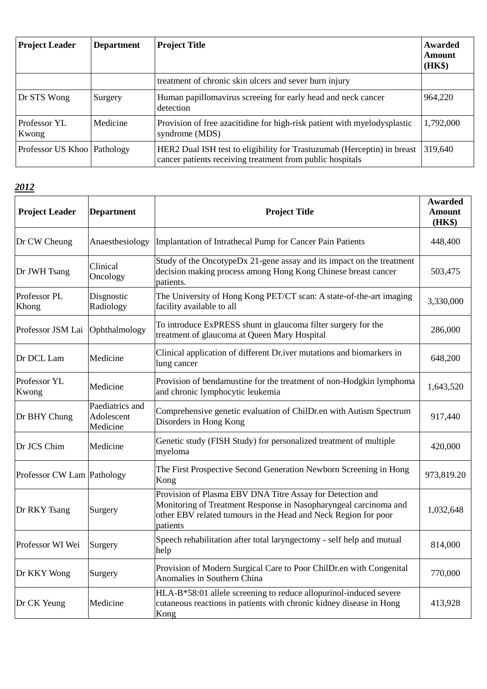| <b>Project Leader</b>       | <b>Department</b> | <b>Project Title</b>                                                                                                                 | Awarded<br>Amount<br>(HK\$) |
|-----------------------------|-------------------|--------------------------------------------------------------------------------------------------------------------------------------|-----------------------------|
|                             |                   | treatment of chronic skin ulcers and sever burn injury                                                                               |                             |
| Dr STS Wong                 | Surgery           | Human papillomavirus screeing for early head and neck cancer<br>detection                                                            | 964,220                     |
| Professor YL<br>Kwong       | Medicine          | Provision of free azacitidine for high-risk patient with myelodysplastic<br>syndrome (MDS)                                           | 1,792,000                   |
| Professor US Khoo Pathology |                   | HER2 Dual ISH test to eligibility for Trastuzumab (Herceptin) in breast<br>cancer patients receiving treatment from public hospitals | 319,640                     |

| <b>Project Leader</b>        | <b>Department</b>                         | <b>Project Title</b>                                                                                                                                                                                        | <b>Awarded</b><br>Amount<br>(HK\$) |
|------------------------------|-------------------------------------------|-------------------------------------------------------------------------------------------------------------------------------------------------------------------------------------------------------------|------------------------------------|
| Dr CW Cheung                 | Anaesthesiology                           | Implantation of Intrathecal Pump for Cancer Pain Patients                                                                                                                                                   | 448,400                            |
| Dr JWH Tsang                 | Clinical<br>Oncology                      | Study of the OncotypeDx 21-gene assay and its impact on the treatment<br>decision making process among Hong Kong Chinese breast cancer<br>patients.                                                         | 503,475                            |
| Professor PL<br>Khong        | Disgnostic<br>Radiology                   | The University of Hong Kong PET/CT scan: A state-of-the-art imaging<br>facility available to all                                                                                                            | 3,330,000                          |
| Professor JSM Lai            | Ophthalmology                             | To introduce ExPRESS shunt in glaucoma filter surgery for the<br>treatment of glaucoma at Queen Mary Hospital                                                                                               | 286,000                            |
| Dr DCL Lam                   | Medicine                                  | Clinical application of different Dr.iver mutations and biomarkers in<br>lung cancer                                                                                                                        | 648,200                            |
| Professor YL<br>Kwong        | Medicine                                  | Provision of bendamustine for the treatment of non-Hodgkin lymphoma<br>and chronic lymphocytic leukemia                                                                                                     | 1,643,520                          |
| Dr BHY Chung                 | Paediatrics and<br>Adolescent<br>Medicine | Comprehensive genetic evaluation of ChilDr.en with Autism Spectrum<br>Disorders in Hong Kong                                                                                                                | 917,440                            |
| Dr JCS Chim                  | Medicine                                  | Genetic study (FISH Study) for personalized treatment of multiple<br>myeloma                                                                                                                                | 420,000                            |
| Professor CW Lam   Pathology |                                           | The First Prospective Second Generation Newborn Screening in Hong<br>Kong                                                                                                                                   | 973,819.20                         |
| Dr RKY Tsang                 | Surgery                                   | Provision of Plasma EBV DNA Titre Assay for Detection and<br>Monitoring of Treatment Response in Nasopharyngeal carcinoma and<br>other EBV related tumours in the Head and Neck Region for poor<br>patients | 1,032,648                          |
| Professor WI Wei             | Surgery                                   | Speech rehabilitation after total laryngectomy - self help and mutual<br>help                                                                                                                               | 814,000                            |
| Dr KKY Wong                  | Surgery                                   | Provision of Modern Surgical Care to Poor ChilDr.en with Congenital<br>Anomalies in Southern China                                                                                                          | 770,000                            |
| Dr CK Yeung                  | Medicine                                  | HLA-B*58:01 allele screening to reduce allopurinol-induced severe<br>cutaneous reactions in patients with chronic kidney disease in Hong<br>Kong                                                            | 413,928                            |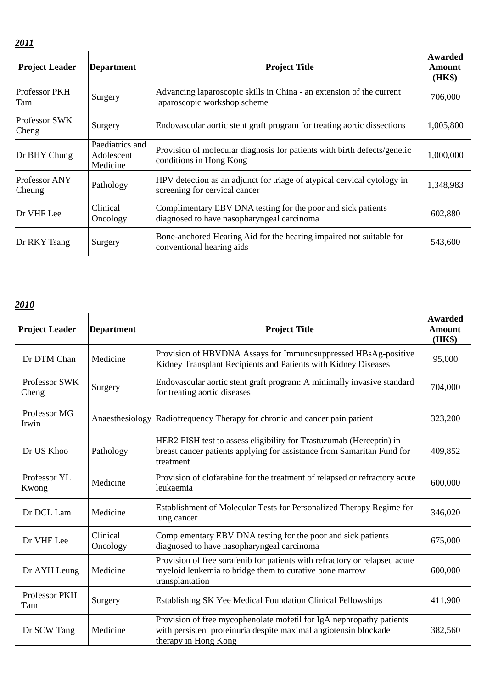| . . | . . | ۰. | . . |  |
|-----|-----|----|-----|--|
|     |     |    |     |  |

| <b>Project Leader</b>         | <b>Department</b>                         | <b>Project Title</b>                                                                                       | Awarded<br>Amount<br>(HK\$) |
|-------------------------------|-------------------------------------------|------------------------------------------------------------------------------------------------------------|-----------------------------|
| <b>Professor PKH</b><br>Tam   | Surgery                                   | Advancing laparoscopic skills in China - an extension of the current<br>laparoscopic workshop scheme       | 706,000                     |
| <b>Professor SWK</b><br>Cheng | Surgery                                   | Endovascular aortic stent graft program for treating aortic dissections                                    | 1,005,800                   |
| Dr BHY Chung                  | Paediatrics and<br>Adolescent<br>Medicine | Provision of molecular diagnosis for patients with birth defects/genetic<br>conditions in Hong Kong        | 1,000,000                   |
| Professor ANY<br>Cheung       | Pathology                                 | HPV detection as an adjunct for triage of atypical cervical cytology in<br>screening for cervical cancer   | 1,348,983                   |
| Dr VHF Lee                    | Clinical<br>Oncology                      | Complimentary EBV DNA testing for the poor and sick patients<br>diagnosed to have nasopharyngeal carcinoma | 602,880                     |
| Dr RKY Tsang                  | Surgery                                   | Bone-anchored Hearing Aid for the hearing impaired not suitable for<br>conventional hearing aids           | 543,600                     |

| <b>Project Leader</b>  | <b>Department</b>    | <b>Project Title</b>                                                                                                                                             | <b>Awarded</b><br><b>Amount</b><br>(HK\$) |
|------------------------|----------------------|------------------------------------------------------------------------------------------------------------------------------------------------------------------|-------------------------------------------|
| Dr DTM Chan            | Medicine             | Provision of HBVDNA Assays for Immunosuppressed HBsAg-positive<br>Kidney Transplant Recipients and Patients with Kidney Diseases                                 | 95,000                                    |
| Professor SWK<br>Cheng | Surgery              | Endovascular aortic stent graft program: A minimally invasive standard<br>for treating aortic diseases                                                           | 704,000                                   |
| Professor MG<br>Irwin  |                      | Anaesthesiology Radiofrequency Therapy for chronic and cancer pain patient                                                                                       | 323,200                                   |
| Dr US Khoo             | Pathology            | HER2 FISH test to assess eligibility for Trastuzumab (Herceptin) in<br>breast cancer patients applying for assistance from Samaritan Fund for<br>treatment       | 409,852                                   |
| Professor YL<br>Kwong  | Medicine             | Provision of clofarabine for the treatment of relapsed or refractory acute<br>leukaemia                                                                          | 600,000                                   |
| Dr DCL Lam             | Medicine             | Establishment of Molecular Tests for Personalized Therapy Regime for<br>lung cancer                                                                              | 346,020                                   |
| Dr VHF Lee             | Clinical<br>Oncology | Complementary EBV DNA testing for the poor and sick patients<br>diagnosed to have nasopharyngeal carcinoma                                                       | 675,000                                   |
| Dr AYH Leung           | Medicine             | Provision of free sorafenib for patients with refractory or relapsed acute<br>myeloid leukemia to bridge them to curative bone marrow<br>transplantation         | 600,000                                   |
| Professor PKH<br>Tam   | Surgery              | Establishing SK Yee Medical Foundation Clinical Fellowships                                                                                                      | 411,900                                   |
| Dr SCW Tang            | Medicine             | Provision of free mycophenolate mofetil for IgA nephropathy patients<br>with persistent proteinuria despite maximal angiotensin blockade<br>therapy in Hong Kong | 382,560                                   |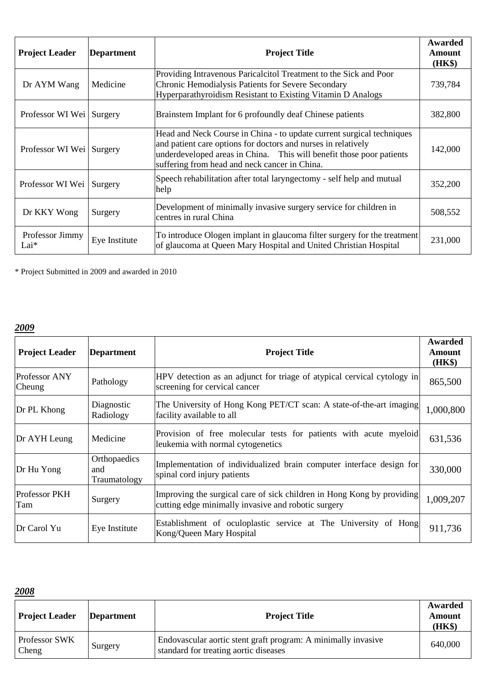| <b>Project Leader</b>      | <b>Department</b> | <b>Project Title</b>                                                                                                                                                                                                                                            | Awarded<br>Amount<br>(HK\$) |
|----------------------------|-------------------|-----------------------------------------------------------------------------------------------------------------------------------------------------------------------------------------------------------------------------------------------------------------|-----------------------------|
| Dr AYM Wang                | Medicine          | Providing Intravenous Paricalcitol Treatment to the Sick and Poor<br>Chronic Hemodialysis Patients for Severe Secondary<br>Hyperparathyroidism Resistant to Existing Vitamin D Analogs                                                                          | 739,784                     |
| Professor WI Wei   Surgery |                   | Brainstem Implant for 6 profoundly deaf Chinese patients                                                                                                                                                                                                        | 382,800                     |
| Professor WI Wei   Surgery |                   | Head and Neck Course in China - to update current surgical techniques<br>and patient care options for doctors and nurses in relatively<br>underdeveloped areas in China. This will benefit those poor patients<br>suffering from head and neck cancer in China. | 142,000                     |
| Professor WI Wei           | Surgery           | Speech rehabilitation after total laryngectomy - self help and mutual<br>help                                                                                                                                                                                   | 352,200                     |
| Dr KKY Wong                | Surgery           | Development of minimally invasive surgery service for children in<br>centres in rural China                                                                                                                                                                     | 508,552                     |
| Professor Jimmy<br>$Lai*$  | Eye Institute     | To introduce Ologen implant in glaucoma filter surgery for the treatment<br>of glaucoma at Queen Mary Hospital and United Christian Hospital                                                                                                                    | 231,000                     |

\* Project Submitted in 2009 and awarded in 2010

### *2009*

| <b>Project Leader</b>          | <b>Department</b>                   | <b>Project Title</b>                                                                                                          | Awarded<br><b>Amount</b><br>(HK\$) |
|--------------------------------|-------------------------------------|-------------------------------------------------------------------------------------------------------------------------------|------------------------------------|
| <b>Professor ANY</b><br>Cheung | Pathology                           | HPV detection as an adjunct for triage of atypical cervical cytology in<br>screening for cervical cancer                      | 865,500                            |
| Dr PL Khong                    | Diagnostic<br>Radiology             | The University of Hong Kong PET/CT scan: A state-of-the-art imaging<br>facility available to all                              | 1,000,800                          |
| Dr AYH Leung                   | Medicine                            | Provision of free molecular tests for patients with acute myeloid<br>leukemia with normal cytogenetics                        | 631,536                            |
| Dr Hu Yong                     | Orthopaedics<br>and<br>Traumatology | Implementation of individualized brain computer interface design for<br>spinal cord injury patients                           | 330,000                            |
| <b>Professor PKH</b><br>Tam    | Surgery                             | Improving the surgical care of sick children in Hong Kong by providing<br>cutting edge minimally invasive and robotic surgery | 1,009,207                          |
| Dr Carol Yu                    | Eye Institute                       | Establishment of oculoplastic service at The University of Hong<br>Kong/Queen Mary Hospital                                   | 911,736                            |

| <b>Project Leader</b>  | Department | <b>Project Title</b>                                                                                   | Awarded<br><b>Amount</b><br>(HK\$) |
|------------------------|------------|--------------------------------------------------------------------------------------------------------|------------------------------------|
| Professor SWK<br>Cheng | Surgery    | Endovascular aortic stent graft program: A minimally invasive<br>standard for treating aortic diseases | 640,000                            |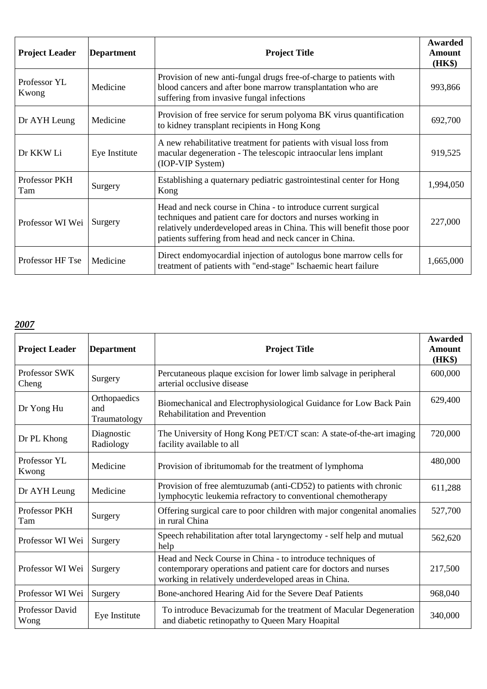| <b>Project Leader</b> | <b>Department</b> | <b>Project Title</b>                                                                                                                                                                                                                                               | Awarded<br><b>Amount</b><br>(HK\$) |
|-----------------------|-------------------|--------------------------------------------------------------------------------------------------------------------------------------------------------------------------------------------------------------------------------------------------------------------|------------------------------------|
| Professor YL<br>Kwong | Medicine          | Provision of new anti-fungal drugs free-of-charge to patients with<br>blood cancers and after bone marrow transplantation who are<br>suffering from invasive fungal infections                                                                                     | 993,866                            |
| Dr AYH Leung          | Medicine          | Provision of free service for serum polyoma BK virus quantification<br>to kidney transplant recipients in Hong Kong                                                                                                                                                | 692,700                            |
| Dr KKW Li             | Eye Institute     | A new rehabilitative treatment for patients with visual loss from<br>macular degeneration - The telescopic intraocular lens implant<br>(IOP-VIP System)                                                                                                            | 919,525                            |
| Professor PKH<br>Tam  | Surgery           | Establishing a quaternary pediatric gastrointestinal center for Hong<br>Kong                                                                                                                                                                                       | 1,994,050                          |
| Professor WI Wei      | Surgery           | Head and neck course in China - to introduce current surgical<br>techniques and patient care for doctors and nurses working in<br>relatively underdeveloped areas in China. This will benefit those poor<br>patients suffering from head and neck cancer in China. | 227,000                            |
| Professor HF Tse      | Medicine          | Direct endomyocardial injection of autologus bone marrow cells for<br>treatment of patients with "end-stage" Ischaemic heart failure                                                                                                                               | 1,665,000                          |

| <b>Project Leader</b>       | <b>Department</b>                   | <b>Project Title</b>                                                                                                                                                                  | Awarded<br>Amount<br>(HK\$) |
|-----------------------------|-------------------------------------|---------------------------------------------------------------------------------------------------------------------------------------------------------------------------------------|-----------------------------|
| Professor SWK<br>Cheng      | Surgery                             | Percutaneous plaque excision for lower limb salvage in peripheral<br>arterial occlusive disease                                                                                       | 600,000                     |
| Dr Yong Hu                  | Orthopaedics<br>and<br>Traumatology | Biomechanical and Electrophysiological Guidance for Low Back Pain<br><b>Rehabilitation and Prevention</b>                                                                             | 629,400                     |
| Dr PL Khong                 | Diagnostic<br>Radiology             | The University of Hong Kong PET/CT scan: A state-of-the-art imaging<br>facility available to all                                                                                      | 720,000                     |
| Professor YL<br>Kwong       | Medicine                            | Provision of ibritumomab for the treatment of lymphoma                                                                                                                                | 480,000                     |
| Dr AYH Leung                | Medicine                            | Provision of free alemtuzumab (anti-CD52) to patients with chronic<br>lymphocytic leukemia refractory to conventional chemotherapy                                                    | 611,288                     |
| <b>Professor PKH</b><br>Tam | Surgery                             | Offering surgical care to poor children with major congenital anomalies<br>in rural China                                                                                             | 527,700                     |
| Professor WI Wei            | Surgery                             | Speech rehabilitation after total laryngectomy - self help and mutual<br>help                                                                                                         | 562,620                     |
| Professor WI Wei            | Surgery                             | Head and Neck Course in China - to introduce techniques of<br>contemporary operations and patient care for doctors and nurses<br>working in relatively underdeveloped areas in China. | 217,500                     |
| Professor WI Wei            | Surgery                             | Bone-anchored Hearing Aid for the Severe Deaf Patients                                                                                                                                | 968,040                     |
| Professor David<br>Wong     | Eye Institute                       | To introduce Bevacizumab for the treatment of Macular Degeneration<br>and diabetic retinopathy to Queen Mary Hoapital                                                                 | 340,000                     |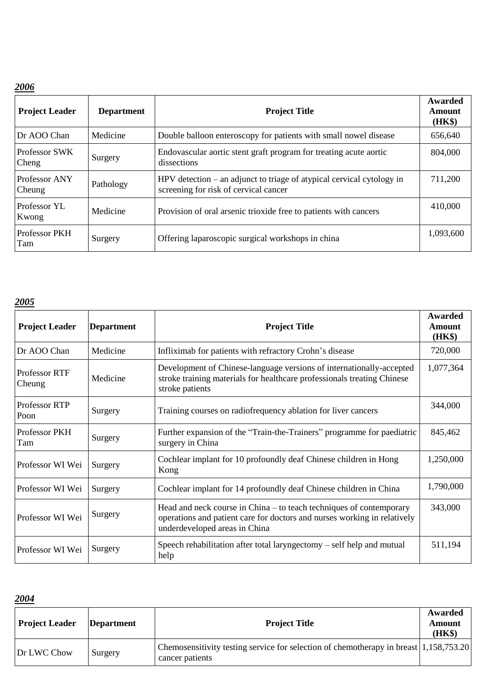| <b>Project Leader</b>         | <b>Department</b> | <b>Project Title</b>                                                                                             | Awarded<br><b>Amount</b><br>(HK\$) |
|-------------------------------|-------------------|------------------------------------------------------------------------------------------------------------------|------------------------------------|
| Dr AOO Chan                   | Medicine          | Double balloon enteroscopy for patients with small nowel disease                                                 | 656,640                            |
| <b>Professor SWK</b><br>Cheng | Surgery           | Endovascular aortic stent graft program for treating acute aortic<br>dissections                                 | 804,000                            |
| Professor ANY<br>Cheung       | Pathology         | $HPV$ detection – an adjunct to triage of atypical cervical cytology in<br>screening for risk of cervical cancer | 711,200                            |
| Professor YL<br>Kwong         | Medicine          | Provision of oral arsenic trioxide free to patients with cancers                                                 | 410,000                            |
| Professor PKH<br>Tam          | Surgery           | Offering laparoscopic surgical workshops in china                                                                | 1,093,600                          |

# *2005*

| <b>Project Leader</b>   | <b>Department</b> | <b>Project Title</b>                                                                                                                                                             | Awarded<br>Amount<br>(HK\$) |
|-------------------------|-------------------|----------------------------------------------------------------------------------------------------------------------------------------------------------------------------------|-----------------------------|
| Dr AOO Chan             | Medicine          | Infliximab for patients with refractory Crohn's disease                                                                                                                          | 720,000                     |
| Professor RTF<br>Cheung | Medicine          | Development of Chinese-language versions of internationally-accepted<br>stroke training materials for healthcare professionals treating Chinese<br>stroke patients               | 1,077,364                   |
| Professor RTP<br>Poon   | Surgery           | Training courses on radiofrequency ablation for liver cancers                                                                                                                    | 344,000                     |
| Professor PKH<br>Tam    | Surgery           | Further expansion of the "Train-the-Trainers" programme for paediatric<br>surgery in China                                                                                       | 845,462                     |
| Professor WI Wei        | Surgery           | Cochlear implant for 10 profoundly deaf Chinese children in Hong<br>Kong                                                                                                         | 1,250,000                   |
| Professor WI Wei        | Surgery           | Cochlear implant for 14 profoundly deaf Chinese children in China                                                                                                                | 1,790,000                   |
| Professor WI Wei        | Surgery           | Head and neck course in China – to teach techniques of contemporary<br>operations and patient care for doctors and nurses working in relatively<br>underdeveloped areas in China | 343,000                     |
| Professor WI Wei        | Surgery           | Speech rehabilitation after total laryngectomy $-$ self help and mutual<br>help                                                                                                  | 511,194                     |

| <b>Project Leader</b> | Department | <b>Project Title</b>                                                                                     | Awarded<br>Amount<br>(HK\$) |
|-----------------------|------------|----------------------------------------------------------------------------------------------------------|-----------------------------|
| Dr LWC Chow           | Surgery    | Chemosensitivity testing service for selection of chemotherapy in breast 1,158,753.20<br>cancer patients |                             |